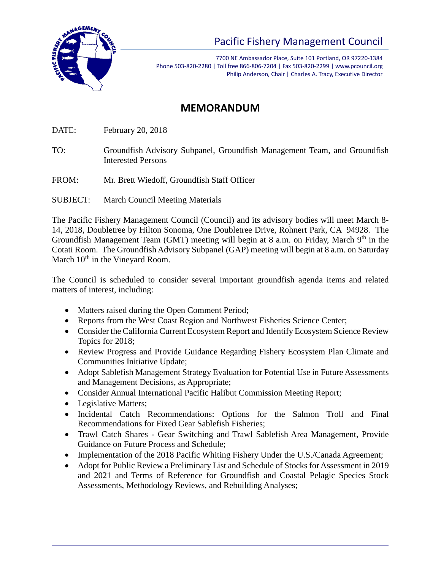

## Pacific Fishery Management Council

7700 NE Ambassador Place, Suite 101 Portland, OR 97220-1384 Phone 503-820-2280 | Toll free 866-806-7204 | Fax 503-820-2299 | www.pcouncil.org Philip Anderson, Chair | Charles A. Tracy, Executive Director

## **MEMORANDUM**

DATE: February 20, 2018

TO: Groundfish Advisory Subpanel, Groundfish Management Team, and Groundfish Interested Persons

FROM: Mr. Brett Wiedoff, Groundfish Staff Officer

SUBJECT: March Council Meeting Materials

The Pacific Fishery Management Council (Council) and its advisory bodies will meet March 8- 14, 2018, Doubletree by Hilton Sonoma, One Doubletree Drive, Rohnert Park, CA 94928. The Groundfish Management Team (GMT) meeting will begin at 8 a.m. on Friday, March  $9<sup>th</sup>$  in the Cotati Room. The Groundfish Advisory Subpanel (GAP) meeting will begin at 8 a.m. on Saturday March  $10<sup>th</sup>$  in the Vineyard Room.

The Council is scheduled to consider several important groundfish agenda items and related matters of interest, including:

- Matters raised during the Open Comment Period;
- Reports from the West Coast Region and Northwest Fisheries Science Center;
- Consider the California Current Ecosystem Report and Identify Ecosystem Science Review Topics for 2018;
- Review Progress and Provide Guidance Regarding Fishery Ecosystem Plan Climate and Communities Initiative Update;
- Adopt Sablefish Management Strategy Evaluation for Potential Use in Future Assessments and Management Decisions, as Appropriate;
- Consider Annual International Pacific Halibut Commission Meeting Report;
- Legislative Matters;
- Incidental Catch Recommendations: Options for the Salmon Troll and Final Recommendations for Fixed Gear Sablefish Fisheries;
- Trawl Catch Shares Gear Switching and Trawl Sablefish Area Management, Provide Guidance on Future Process and Schedule;
- Implementation of the 2018 Pacific Whiting Fishery Under the U.S./Canada Agreement;
- Adopt for Public Review a Preliminary List and Schedule of Stocks for Assessment in 2019 and 2021 and Terms of Reference for Groundfish and Coastal Pelagic Species Stock Assessments, Methodology Reviews, and Rebuilding Analyses;